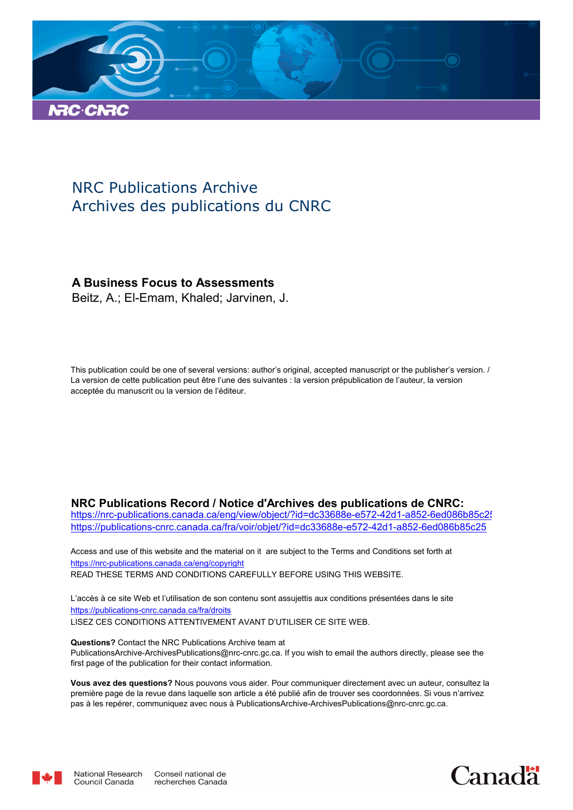

# NRC Publications Archive Archives des publications du CNRC

# **A Business Focus to Assessments**

Beitz, A.; El-Emam, Khaled; Jarvinen, J.

This publication could be one of several versions: author's original, accepted manuscript or the publisher's version. / La version de cette publication peut être l'une des suivantes : la version prépublication de l'auteur, la version acceptée du manuscrit ou la version de l'éditeur.

#### **NRC Publications Record / Notice d'Archives des publications de CNRC:**

https://nrc-publications.canada.ca/eng/view/object/?id=dc33688e-e572-42d1-a852-6ed086b85c25 https://publications-cnrc.canada.ca/fra/voir/objet/?id=dc33688e-e572-42d1-a852-6ed086b85c25

READ THESE TERMS AND CONDITIONS CAREFULLY BEFORE USING THIS WEBSITE. https://nrc-publications.canada.ca/eng/copyright Access and use of this website and the material on it are subject to the Terms and Conditions set forth at

https://publications-cnrc.canada.ca/fra/droits L'accès à ce site Web et l'utilisation de son contenu sont assujettis aux conditions présentées dans le site LISEZ CES CONDITIONS ATTENTIVEMENT AVANT D'UTILISER CE SITE WEB.

**Questions?** Contact the NRC Publications Archive team at PublicationsArchive-ArchivesPublications@nrc-cnrc.gc.ca. If you wish to email the authors directly, please see the first page of the publication for their contact information.

**Vous avez des questions?** Nous pouvons vous aider. Pour communiquer directement avec un auteur, consultez la première page de la revue dans laquelle son article a été publié afin de trouver ses coordonnées. Si vous n'arrivez pas à les repérer, communiquez avec nous à PublicationsArchive-ArchivesPublications@nrc-cnrc.gc.ca.



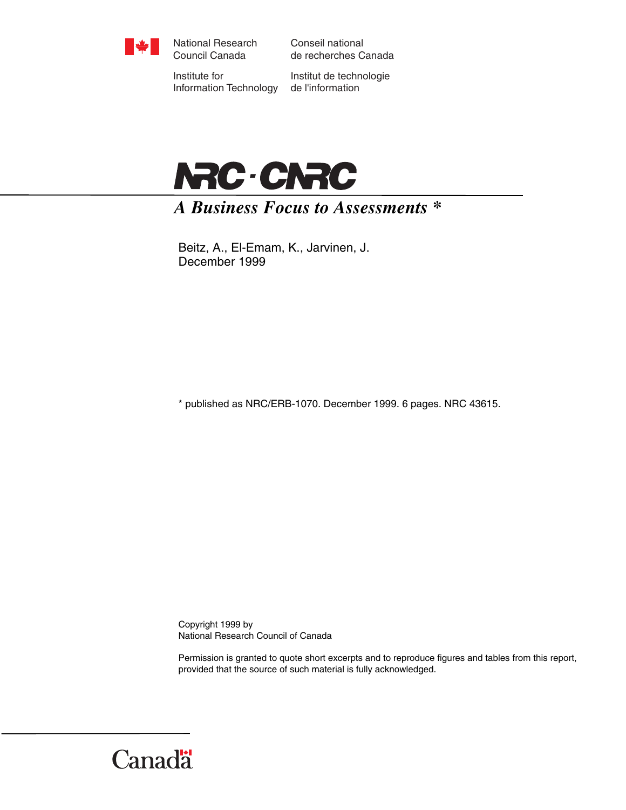

National Research Council Canada

Conseil national de recherches Canada

Institute for Information Technology

Institut de technologie de l'information



# *A Business Focus to Assessments \**

Beitz, A., El-Emam, K., Jarvinen, J. December 1999

\* published as NRC/ERB-1070. December 1999. 6 pages. NRC 43615.

Copyright 1999 by National Research Council of Canada

Permission is granted to quote short excerpts and to reproduce figures and tables from this report, provided that the source of such material is fully acknowledged.

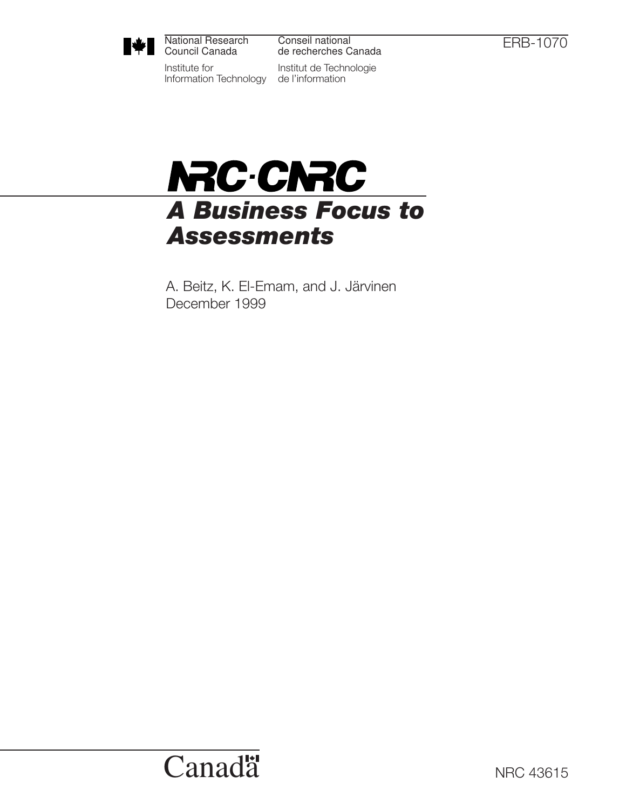

National Research Council Canada

Institute for Information Technology de l'information

Conseil national de recherches Canada

Institut de Technologie



*A Business Focus to Assessments*

A. Beitz, K. El-Emam, and J. Järvinen December 1999

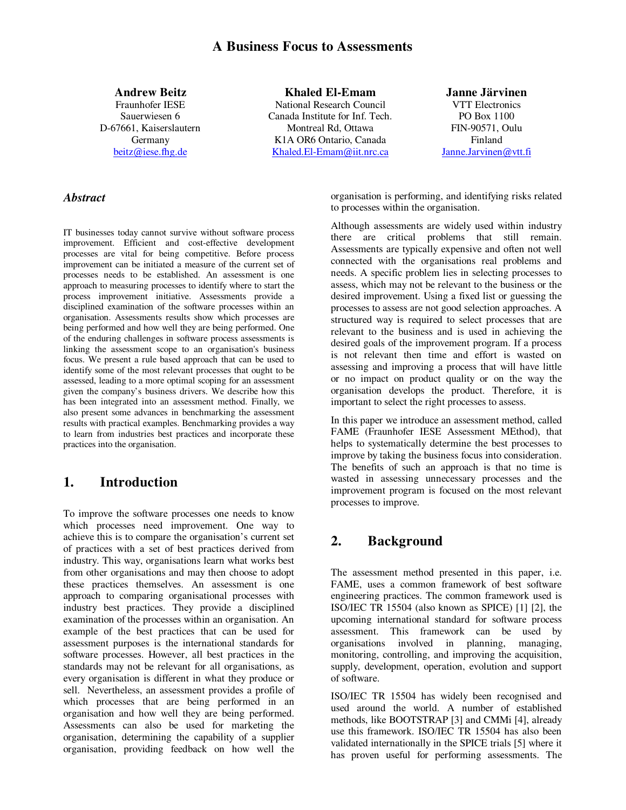Fraunhofer IESE National Research Council VTT Electronics

Sauerwiesen 6 Canada Institute for Inf. Tech. PO Box 1100<br>
1100 Montreal Rd, Ottawa FIN-90571, Oul D-67661, Kaiserslautern Montreal Rd, Ottawa FIN-90571, Oulu Germany K1A OR6 Ontario, Canada Finland<br>beitz@iese.fhg.de Khaled.El-Emam@iit.nrc.ca Janne.Jarvinen@vtt.fi Khaled.El-Emam@iit.nrc.ca

# **Andrew Beitz Khaled El-Emam Janne Järvinen**

#### *Abstract*

IT businesses today cannot survive without software process improvement. Efficient and cost-effective development processes are vital for being competitive. Before process improvement can be initiated a measure of the current set of processes needs to be established. An assessment is one approach to measuring processes to identify where to start the process improvement initiative. Assessments provide a disciplined examination of the software processes within an organisation. Assessments results show which processes are being performed and how well they are being performed. One of the enduring challenges in software process assessments is linking the assessment scope to an organisation's business focus. We present a rule based approach that can be used to identify some of the most relevant processes that ought to be assessed, leading to a more optimal scoping for an assessment given the company's business drivers. We describe how this has been integrated into an assessment method. Finally, we also present some advances in benchmarking the assessment results with practical examples. Benchmarking provides a way to learn from industries best practices and incorporate these practices into the organisation.

## **1. Introduction**

To improve the software processes one needs to know which processes need improvement. One way to achieve this is to compare the organisation's current set of practices with a set of best practices derived from industry. This way, organisations learn what works best from other organisations and may then choose to adopt these practices themselves. An assessment is one approach to comparing organisational processes with industry best practices. They provide a disciplined examination of the processes within an organisation. An example of the best practices that can be used for assessment purposes is the international standards for software processes. However, all best practices in the standards may not be relevant for all organisations, as every organisation is different in what they produce or sell. Nevertheless, an assessment provides a profile of which processes that are being performed in an organisation and how well they are being performed. Assessments can also be used for marketing the organisation, determining the capability of a supplier organisation, providing feedback on how well the organisation is performing, and identifying risks related to processes within the organisation.

Although assessments are widely used within industry there are critical problems that still remain. Assessments are typically expensive and often not well connected with the organisations real problems and needs. A specific problem lies in selecting processes to assess, which may not be relevant to the business or the desired improvement. Using a fixed list or guessing the processes to assess are not good selection approaches. A structured way is required to select processes that are relevant to the business and is used in achieving the desired goals of the improvement program. If a process is not relevant then time and effort is wasted on assessing and improving a process that will have little or no impact on product quality or on the way the organisation develops the product. Therefore, it is important to select the right processes to assess.

In this paper we introduce an assessment method, called FAME (Fraunhofer IESE Assessment MEthod), that helps to systematically determine the best processes to improve by taking the business focus into consideration. The benefits of such an approach is that no time is wasted in assessing unnecessary processes and the improvement program is focused on the most relevant processes to improve.

# **2. Background**

The assessment method presented in this paper, i.e. FAME, uses a common framework of best software engineering practices. The common framework used is ISO/IEC TR 15504 (also known as SPICE) [1] [2], the upcoming international standard for software process assessment. This framework can be used by organisations involved in planning, managing, monitoring, controlling, and improving the acquisition, supply, development, operation, evolution and support of software.

ISO/IEC TR 15504 has widely been recognised and used around the world. A number of established methods, like BOOTSTRAP [3] and CMMi [4], already use this framework. ISO/IEC TR 15504 has also been validated internationally in the SPICE trials [5] where it has proven useful for performing assessments. The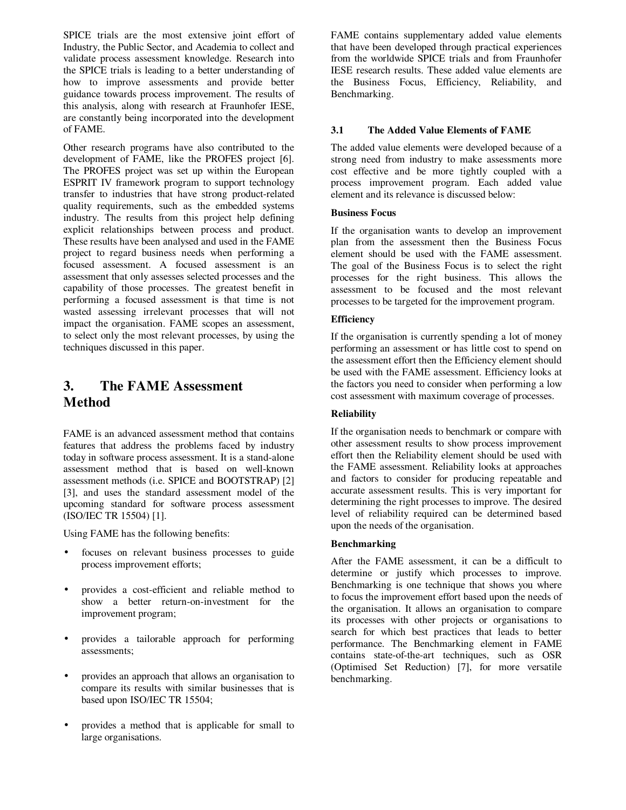SPICE trials are the most extensive joint effort of Industry, the Public Sector, and Academia to collect and validate process assessment knowledge. Research into the SPICE trials is leading to a better understanding of how to improve assessments and provide better guidance towards process improvement. The results of this analysis, along with research at Fraunhofer IESE, are constantly being incorporated into the development of FAME.

Other research programs have also contributed to the development of FAME, like the PROFES project [6]. The PROFES project was set up within the European ESPRIT IV framework program to support technology transfer to industries that have strong product-related quality requirements, such as the embedded systems industry. The results from this project help defining explicit relationships between process and product. These results have been analysed and used in the FAME project to regard business needs when performing a focused assessment. A focused assessment is an assessment that only assesses selected processes and the capability of those processes. The greatest benefit in performing a focused assessment is that time is not wasted assessing irrelevant processes that will not impact the organisation. FAME scopes an assessment, to select only the most relevant processes, by using the techniques discussed in this paper.

# **3. The FAME Assessment Method**

FAME is an advanced assessment method that contains features that address the problems faced by industry today in software process assessment. It is a stand-alone assessment method that is based on well-known assessment methods (i.e. SPICE and BOOTSTRAP) [2] [3], and uses the standard assessment model of the upcoming standard for software process assessment (ISO/IEC TR 15504) [1].

Using FAME has the following benefits:

- focuses on relevant business processes to guide process improvement efforts;
- provides a cost-efficient and reliable method to show a better return-on-investment for the improvement program;
- provides a tailorable approach for performing assessments;
- provides an approach that allows an organisation to compare its results with similar businesses that is based upon ISO/IEC TR 15504;
- provides a method that is applicable for small to large organisations.

FAME contains supplementary added value elements that have been developed through practical experiences from the worldwide SPICE trials and from Fraunhofer IESE research results. These added value elements are the Business Focus, Efficiency, Reliability, and Benchmarking.

#### **3.1 The Added Value Elements of FAME**

The added value elements were developed because of a strong need from industry to make assessments more cost effective and be more tightly coupled with a process improvement program. Each added value element and its relevance is discussed below:

#### **Business Focus**

If the organisation wants to develop an improvement plan from the assessment then the Business Focus element should be used with the FAME assessment. The goal of the Business Focus is to select the right processes for the right business. This allows the assessment to be focused and the most relevant processes to be targeted for the improvement program.

#### **Efficiency**

If the organisation is currently spending a lot of money performing an assessment or has little cost to spend on the assessment effort then the Efficiency element should be used with the FAME assessment. Efficiency looks at the factors you need to consider when performing a low cost assessment with maximum coverage of processes.

#### **Reliability**

If the organisation needs to benchmark or compare with other assessment results to show process improvement effort then the Reliability element should be used with the FAME assessment. Reliability looks at approaches and factors to consider for producing repeatable and accurate assessment results. This is very important for determining the right processes to improve. The desired level of reliability required can be determined based upon the needs of the organisation.

#### **Benchmarking**

After the FAME assessment, it can be a difficult to determine or justify which processes to improve. Benchmarking is one technique that shows you where to focus the improvement effort based upon the needs of the organisation. It allows an organisation to compare its processes with other projects or organisations to search for which best practices that leads to better performance. The Benchmarking element in FAME contains state-of-the-art techniques, such as OSR (Optimised Set Reduction) [7], for more versatile benchmarking.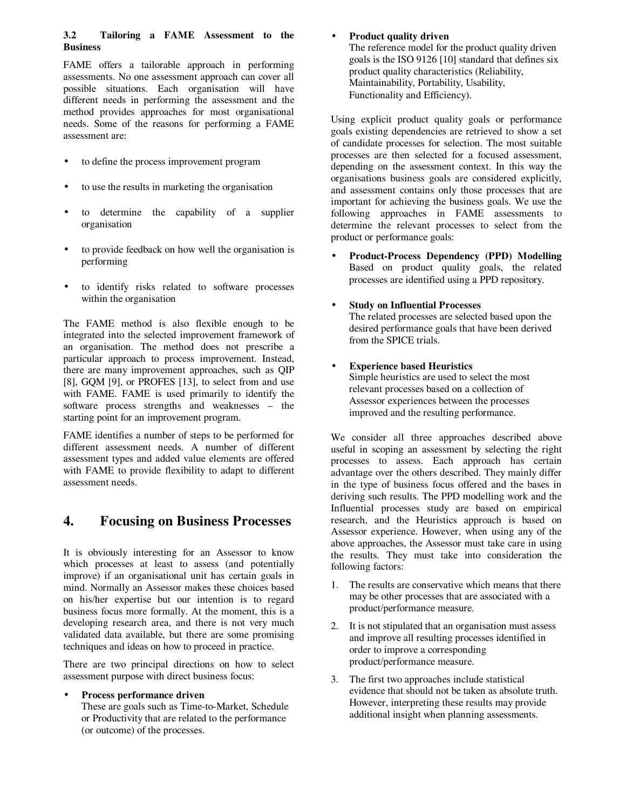#### **3.2 Tailoring a FAME Assessment to the Business**

FAME offers a tailorable approach in performing assessments. No one assessment approach can cover all possible situations. Each organisation will have different needs in performing the assessment and the method provides approaches for most organisational needs. Some of the reasons for performing a FAME assessment are:

- to define the process improvement program
- to use the results in marketing the organisation
- to determine the capability of a supplier organisation
- to provide feedback on how well the organisation is performing
- to identify risks related to software processes within the organisation

The FAME method is also flexible enough to be integrated into the selected improvement framework of an organisation. The method does not prescribe a particular approach to process improvement. Instead, there are many improvement approaches, such as QIP [8], GQM [9], or PROFES [13], to select from and use with FAME. FAME is used primarily to identify the software process strengths and weaknesses – the starting point for an improvement program.

FAME identifies a number of steps to be performed for different assessment needs. A number of different assessment types and added value elements are offered with FAME to provide flexibility to adapt to different assessment needs.

# **4. Focusing on Business Processes**

It is obviously interesting for an Assessor to know which processes at least to assess (and potentially improve) if an organisational unit has certain goals in mind. Normally an Assessor makes these choices based on his/her expertise but our intention is to regard business focus more formally. At the moment, this is a developing research area, and there is not very much validated data available, but there are some promising techniques and ideas on how to proceed in practice.

There are two principal directions on how to select assessment purpose with direct business focus:

#### • **Process performance driven**

These are goals such as Time-to-Market, Schedule or Productivity that are related to the performance (or outcome) of the processes.

#### • **Product quality driven**

The reference model for the product quality driven goals is the ISO 9126 [10] standard that defines six product quality characteristics (Reliability, Maintainability, Portability, Usability, Functionality and Efficiency).

Using explicit product quality goals or performance goals existing dependencies are retrieved to show a set of candidate processes for selection. The most suitable processes are then selected for a focused assessment, depending on the assessment context. In this way the organisations business goals are considered explicitly, and assessment contains only those processes that are important for achieving the business goals. We use the following approaches in FAME assessments to determine the relevant processes to select from the product or performance goals:

- **Product-Process Dependency (PPD) Modelling** Based on product quality goals, the related processes are identified using a PPD repository.
- **Study on Influential Processes** The related processes are selected based upon the desired performance goals that have been derived from the SPICE trials.

### • **Experience based Heuristics**

Simple heuristics are used to select the most relevant processes based on a collection of Assessor experiences between the processes improved and the resulting performance.

We consider all three approaches described above useful in scoping an assessment by selecting the right processes to assess. Each approach has certain advantage over the others described. They mainly differ in the type of business focus offered and the bases in deriving such results. The PPD modelling work and the Influential processes study are based on empirical research, and the Heuristics approach is based on Assessor experience. However, when using any of the above approaches, the Assessor must take care in using the results. They must take into consideration the following factors:

- 1. The results are conservative which means that there may be other processes that are associated with a product/performance measure.
- 2. It is not stipulated that an organisation must assess and improve all resulting processes identified in order to improve a corresponding product/performance measure.
- 3. The first two approaches include statistical evidence that should not be taken as absolute truth. However, interpreting these results may provide additional insight when planning assessments.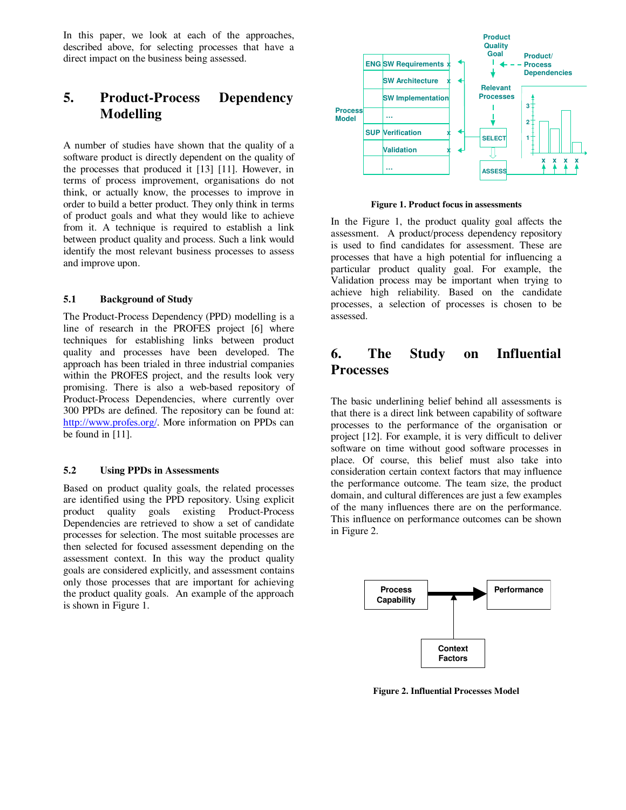In this paper, we look at each of the approaches, described above, for selecting processes that have a direct impact on the business being assessed.

# **5. Product-Process Dependency Modelling**

A number of studies have shown that the quality of a software product is directly dependent on the quality of the processes that produced it [13] [11]. However, in terms of process improvement, organisations do not think, or actually know, the processes to improve in order to build a better product. They only think in terms of product goals and what they would like to achieve from it. A technique is required to establish a link between product quality and process. Such a link would identify the most relevant business processes to assess and improve upon.

#### **5.1 Background of Study**

The Product-Process Dependency (PPD) modelling is a line of research in the PROFES project [6] where techniques for establishing links between product quality and processes have been developed. The approach has been trialed in three industrial companies within the PROFES project, and the results look very promising. There is also a web-based repository of Product-Process Dependencies, where currently over 300 PPDs are defined. The repository can be found at: http://www.profes.org/. More information on PPDs can be found in [11].

#### **5.2 Using PPDs in Assessments**

Based on product quality goals, the related processes are identified using the PPD repository. Using explicit product quality goals existing Product-Process Dependencies are retrieved to show a set of candidate processes for selection. The most suitable processes are then selected for focused assessment depending on the assessment context. In this way the product quality goals are considered explicitly, and assessment contains only those processes that are important for achieving the product quality goals. An example of the approach is shown in Figure 1.



**Figure 1. Product focus in assessments**

In the Figure 1, the product quality goal affects the assessment. A product/process dependency repository is used to find candidates for assessment. These are processes that have a high potential for influencing a particular product quality goal. For example, the Validation process may be important when trying to achieve high reliability. Based on the candidate processes, a selection of processes is chosen to be assessed.

# **6. The Study on Influential Processes**

The basic underlining belief behind all assessments is that there is a direct link between capability of software processes to the performance of the organisation or project [12]. For example, it is very difficult to deliver software on time without good software processes in place. Of course, this belief must also take into consideration certain context factors that may influence the performance outcome. The team size, the product domain, and cultural differences are just a few examples of the many influences there are on the performance. This influence on performance outcomes can be shown in Figure 2.



**Figure 2. Influential Processes Model**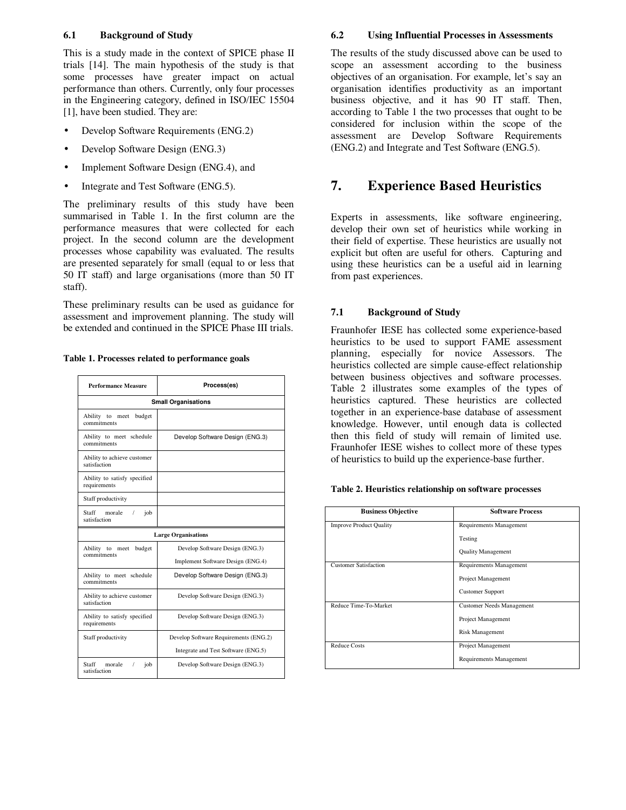#### **6.1 Background of Study**

This is a study made in the context of SPICE phase II trials [14]. The main hypothesis of the study is that some processes have greater impact on actual performance than others. Currently, only four processes in the Engineering category, defined in ISO/IEC 15504 [1], have been studied. They are:

- Develop Software Requirements (ENG.2)
- Develop Software Design (ENG.3)
- Implement Software Design (ENG.4), and
- Integrate and Test Software (ENG.5).

The preliminary results of this study have been summarised in Table 1. In the first column are the performance measures that were collected for each project. In the second column are the development processes whose capability was evaluated. The results are presented separately for small (equal to or less that 50 IT staff) and large organisations (more than 50 IT staff).

These preliminary results can be used as guidance for assessment and improvement planning. The study will be extended and continued in the SPICE Phase III trials.

| <b>Performance Measure</b>                   | Process(es)                           |
|----------------------------------------------|---------------------------------------|
| <b>Small Organisations</b>                   |                                       |
| Ability to meet budget<br>commitments        |                                       |
| Ability to meet schedule<br>commitments      | Develop Software Design (ENG.3)       |
| Ability to achieve customer<br>satisfaction  |                                       |
| Ability to satisfy specified<br>requirements |                                       |
| Staff productivity                           |                                       |
| Staff<br>morale<br>job<br>1<br>satisfaction  |                                       |
| <b>Large Organisations</b>                   |                                       |
| Ability to meet budget<br>commitments        | Develop Software Design (ENG.3)       |
|                                              | Implement Software Design (ENG.4)     |
| Ability to meet schedule<br>commitments      | Develop Software Design (ENG.3)       |
| Ability to achieve customer<br>satisfaction  | Develop Software Design (ENG.3)       |
| Ability to satisfy specified<br>requirements | Develop Software Design (ENG.3)       |
| Staff productivity                           | Develop Software Requirements (ENG.2) |
|                                              | Integrate and Test Software (ENG.5)   |
| Staff<br>morale<br>job<br>7<br>satisfaction  | Develop Software Design (ENG.3)       |

#### **Table 1. Processes related to performance goals**

#### **6.2 Using Influential Processes in Assessments**

The results of the study discussed above can be used to scope an assessment according to the business objectives of an organisation. For example, let's say an organisation identifies productivity as an important business objective, and it has 90 IT staff. Then, according to Table 1 the two processes that ought to be considered for inclusion within the scope of the assessment are Develop Software Requirements (ENG.2) and Integrate and Test Software (ENG.5).

# **7. Experience Based Heuristics**

Experts in assessments, like software engineering, develop their own set of heuristics while working in their field of expertise. These heuristics are usually not explicit but often are useful for others. Capturing and using these heuristics can be a useful aid in learning from past experiences.

## **7.1 Background of Study**

Fraunhofer IESE has collected some experience-based heuristics to be used to support FAME assessment planning, especially for novice Assessors. The heuristics collected are simple cause-effect relationship between business objectives and software processes. Table 2 illustrates some examples of the types of heuristics captured. These heuristics are collected together in an experience-base database of assessment knowledge. However, until enough data is collected then this field of study will remain of limited use. Fraunhofer IESE wishes to collect more of these types of heuristics to build up the experience-base further.

#### **Table 2. Heuristics relationship on software processes**

| <b>Business Objective</b>      | <b>Software Process</b>          |
|--------------------------------|----------------------------------|
| <b>Improve Product Quality</b> | Requirements Management          |
|                                | Testing                          |
|                                | <b>Quality Management</b>        |
| <b>Customer Satisfaction</b>   | Requirements Management          |
|                                | Project Management               |
|                                | <b>Customer Support</b>          |
| Reduce Time-To-Market          | <b>Customer Needs Management</b> |
|                                | Project Management               |
|                                | <b>Risk Management</b>           |
| <b>Reduce Costs</b>            | Project Management               |
|                                | Requirements Management          |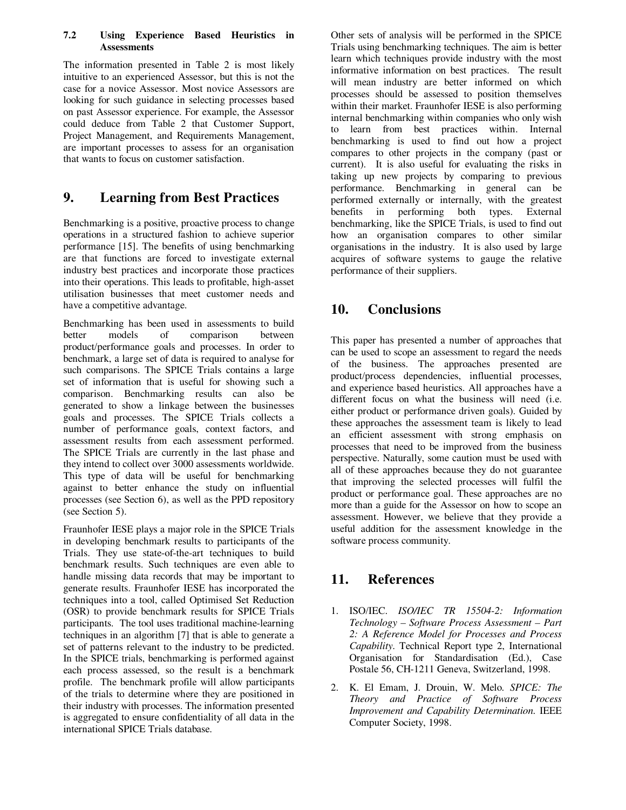#### **7.2 Using Experience Based Heuristics in Assessments**

The information presented in Table 2 is most likely intuitive to an experienced Assessor, but this is not the case for a novice Assessor. Most novice Assessors are looking for such guidance in selecting processes based on past Assessor experience. For example, the Assessor could deduce from Table 2 that Customer Support, Project Management, and Requirements Management, are important processes to assess for an organisation that wants to focus on customer satisfaction.

# **9. Learning from Best Practices**

Benchmarking is a positive, proactive process to change operations in a structured fashion to achieve superior performance [15]. The benefits of using benchmarking are that functions are forced to investigate external industry best practices and incorporate those practices into their operations. This leads to profitable, high-asset utilisation businesses that meet customer needs and have a competitive advantage.

Benchmarking has been used in assessments to build better models of comparison between product/performance goals and processes. In order to benchmark, a large set of data is required to analyse for such comparisons. The SPICE Trials contains a large set of information that is useful for showing such a comparison. Benchmarking results can also be generated to show a linkage between the businesses goals and processes. The SPICE Trials collects a number of performance goals, context factors, and assessment results from each assessment performed. The SPICE Trials are currently in the last phase and they intend to collect over 3000 assessments worldwide. This type of data will be useful for benchmarking against to better enhance the study on influential processes (see Section 6), as well as the PPD repository (see Section 5).

Fraunhofer IESE plays a major role in the SPICE Trials in developing benchmark results to participants of the Trials. They use state-of-the-art techniques to build benchmark results. Such techniques are even able to handle missing data records that may be important to generate results. Fraunhofer IESE has incorporated the techniques into a tool, called Optimised Set Reduction (OSR) to provide benchmark results for SPICE Trials participants. The tool uses traditional machine-learning techniques in an algorithm [7] that is able to generate a set of patterns relevant to the industry to be predicted. In the SPICE trials, benchmarking is performed against each process assessed, so the result is a benchmark profile. The benchmark profile will allow participants of the trials to determine where they are positioned in their industry with processes. The information presented is aggregated to ensure confidentiality of all data in the international SPICE Trials database.

Other sets of analysis will be performed in the SPICE Trials using benchmarking techniques. The aim is better learn which techniques provide industry with the most informative information on best practices. The result will mean industry are better informed on which processes should be assessed to position themselves within their market. Fraunhofer IESE is also performing internal benchmarking within companies who only wish to learn from best practices within. Internal benchmarking is used to find out how a project compares to other projects in the company (past or current). It is also useful for evaluating the risks in taking up new projects by comparing to previous performance. Benchmarking in general can be performed externally or internally, with the greatest benefits in performing both types. External benchmarking, like the SPICE Trials, is used to find out how an organisation compares to other similar organisations in the industry. It is also used by large acquires of software systems to gauge the relative performance of their suppliers.

# **10. Conclusions**

This paper has presented a number of approaches that can be used to scope an assessment to regard the needs of the business. The approaches presented are product/process dependencies, influential processes, and experience based heuristics. All approaches have a different focus on what the business will need (i.e. either product or performance driven goals). Guided by these approaches the assessment team is likely to lead an efficient assessment with strong emphasis on processes that need to be improved from the business perspective. Naturally, some caution must be used with all of these approaches because they do not guarantee that improving the selected processes will fulfil the product or performance goal. These approaches are no more than a guide for the Assessor on how to scope an assessment. However, we believe that they provide a useful addition for the assessment knowledge in the software process community.

# **11. References**

- 1. ISO/IEC. *ISO/IEC TR 15504-2: Information Technology – Software Process Assessment – Part 2: A Reference Model for Processes and Process Capability*. Technical Report type 2, International Organisation for Standardisation (Ed.), Case Postale 56, CH-1211 Geneva, Switzerland, 1998.
- 2. K. El Emam, J. Drouin, W. Melo. *SPICE: The Theory and Practice of Software Process Improvement and Capability Determination*. IEEE Computer Society, 1998.